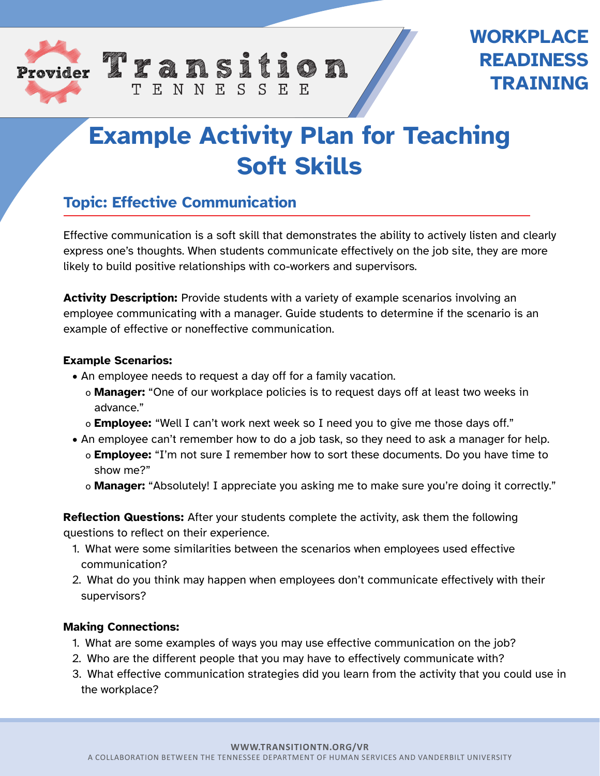



# **Example Activity Plan for Teaching Soft Skills**

# **Topic: Effective Communication**

TENNESSEE

Effective communication is a soft skill that demonstrates the ability to actively listen and clearly express one's thoughts. When students communicate effectively on the job site, they are more likely to build positive relationships with co-workers and supervisors.

**Activity Description:** Provide students with a variety of example scenarios involving an employee communicating with a manager. Guide students to determine if the scenario is an example of effective or noneffective communication.

## **Example Scenarios:**

- An employee needs to request a day off for a family vacation.
	- o **Manager:** "One of our workplace policies is to request days off at least two weeks in advance."
	- o **Employee:** "Well I can't work next week so I need you to give me those days off."
- An employee can't remember how to do a job task, so they need to ask a manager for help.
	- o **Employee:** "I'm not sure I remember how to sort these documents. Do you have time to show me?"
	- o **Manager:** "Absolutely! I appreciate you asking me to make sure you're doing it correctly."

**Reflection Questions:** After your students complete the activity, ask them the following questions to reflect on their experience.

- 1. What were some similarities between the scenarios when employees used effective communication?
- 2. What do you think may happen when employees don't communicate effectively with their supervisors?

#### **Making Connections:**

- 1. What are some examples of ways you may use effective communication on the job?
- 2. Who are the different people that you may have to effectively communicate with?
- 3. What effective communication strategies did you learn from the activity that you could use in the workplace?

**WWW.TRANSITIONTN.ORG/VR**

A COLLABORATION BETWEEN THE TENNESSEE DEPARTMENT OF HUMAN SERVICES AND VANDERBILT UNIVERSITY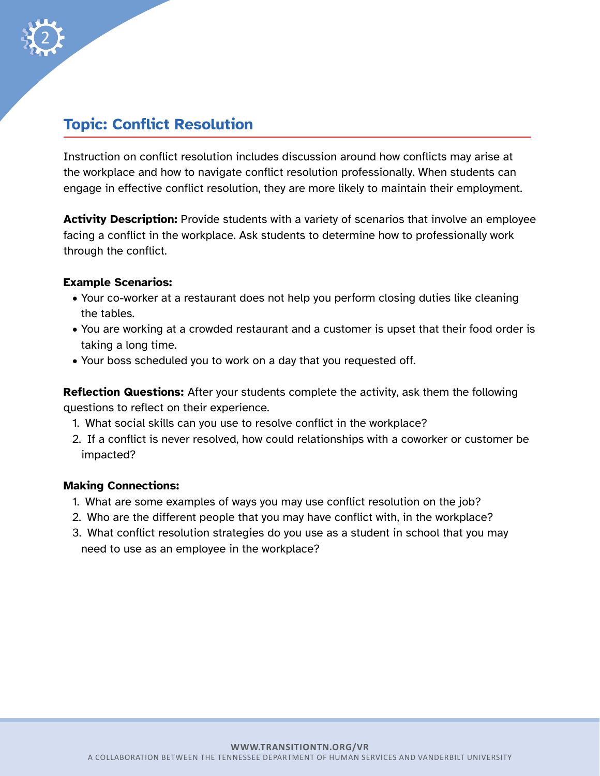

# **Topic: Conflict Resolution**

Instruction on conflict resolution includes discussion around how conflicts may arise at the workplace and how to navigate conflict resolution professionally. When students can engage in effective conflict resolution, they are more likely to maintain their employment.

**Activity Description:** Provide students with a variety of scenarios that involve an employee facing a conflict in the workplace. Ask students to determine how to professionally work through the conflict.

## **Example Scenarios:**

- Your co-worker at a restaurant does not help you perform closing duties like cleaning the tables.
- You are working at a crowded restaurant and a customer is upset that their food order is taking a long time.
- Your boss scheduled you to work on a day that you requested off.

**Reflection Questions:** After your students complete the activity, ask them the following questions to reflect on their experience.

- 1. What social skills can you use to resolve conflict in the workplace?
- 2. If a conflict is never resolved, how could relationships with a coworker or customer be impacted?

#### **Making Connections:**

- 1. What are some examples of ways you may use conflict resolution on the job?
- 2. Who are the different people that you may have conflict with, in the workplace?
- 3. What conflict resolution strategies do you use as a student in school that you may need to use as an employee in the workplace?